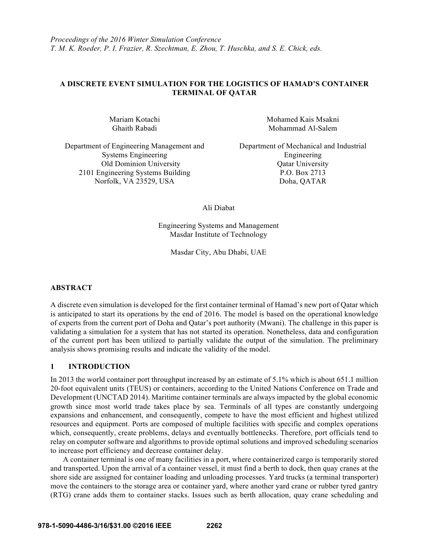*Proceedings of the 2016 Winter Simulation Conference T. M. K. Roeder, P. I. Frazier, R. Szechtman, E. Zhou, T. Huschka, and S. E. Chick, eds.*

# **A DISCRETE EVENT SIMULATION FOR THE LOGISTICS OF HAMAD'S CONTAINER TERMINAL OF QATAR**

Mariam Kotachi Ghaith Rabadi

Mohamed Kais Msakni Mohammad Al-Salem

Department of Engineering Management and Systems Engineering Old Dominion University **Qatar University** Qatar University 2101 Engineering Systems Building P.O. Box 2713 Norfolk, VA 23529, USA Doha, QATAR

Department of Mechanical and Industrial Engineering

Ali Diabat

Engineering Systems and Management Masdar Institute of Technology

Masdar City, Abu Dhabi, UAE

#### **ABSTRACT**

A discrete even simulation is developed for the first container terminal of Hamad's new port of Qatar which is anticipated to start its operations by the end of 2016. The model is based on the operational knowledge of experts from the current port of Doha and Qatar's port authority (Mwani). The challenge in this paper is validating a simulation for a system that has not started its operation. Nonetheless, data and configuration of the current port has been utilized to partially validate the output of the simulation. The preliminary analysis shows promising results and indicate the validity of the model.

# **1 INTRODUCTION**

In 2013 the world container port throughput increased by an estimate of 5.1% which is about 651.1 million 20-foot equivalent units (TEUS) or containers, according to the United Nations Conference on Trade and Development (UNCTAD 2014). Maritime container terminals are always impacted by the global economic growth since most world trade takes place by sea. Terminals of all types are constantly undergoing expansions and enhancement, and consequently, compete to have the most efficient and highest utilized resources and equipment. Ports are composed of multiple facilities with specific and complex operations which, consequently, create problems, delays and eventually bottlenecks. Therefore, port officials tend to relay on computer software and algorithms to provide optimal solutions and improved scheduling scenarios to increase port efficiency and decrease container delay.

A container terminal is one of many facilities in a port, where containerized cargo is temporarily stored and transported. Upon the arrival of a container vessel, it must find a berth to dock, then quay cranes at the shore side are assigned for container loading and unloading processes. Yard trucks (a terminal transporter) move the containers to the storage area or container yard, where another yard crane or rubber tyred gantry (RTG) crane adds them to container stacks. Issues such as berth allocation, quay crane scheduling and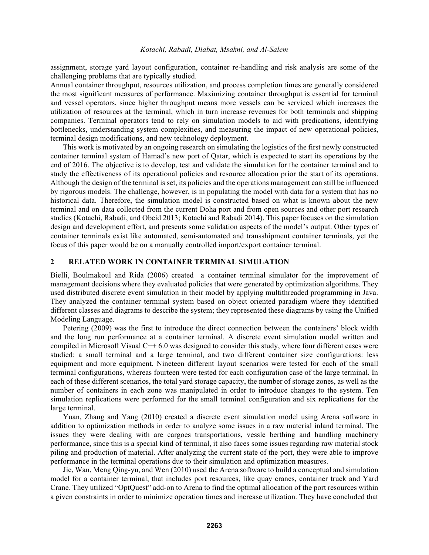assignment, storage yard layout configuration, container re-handling and risk analysis are some of the challenging problems that are typically studied.

Annual container throughput, resources utilization, and process completion times are generally considered the most significant measures of performance. Maximizing container throughput is essential for terminal and vessel operators, since higher throughput means more vessels can be serviced which increases the utilization of resources at the terminal, which in turn increase revenues for both terminals and shipping companies. Terminal operators tend to rely on simulation models to aid with predications, identifying bottlenecks, understanding system complexities, and measuring the impact of new operational policies, terminal design modifications, and new technology deployment.

This work is motivated by an ongoing research on simulating the logistics of the first newly constructed container terminal system of Hamad's new port of Qatar, which is expected to start its operations by the end of 2016. The objective is to develop, test and validate the simulation for the container terminal and to study the effectiveness of its operational policies and resource allocation prior the start of its operations. Although the design of the terminal is set, its policies and the operations management can still be influenced by rigorous models. The challenge, however, is in populating the model with data for a system that has no historical data. Therefore, the simulation model is constructed based on what is known about the new terminal and on data collected from the current Doha port and from open sources and other port research studies (Kotachi, Rabadi, and Obeid 2013; Kotachi and Rabadi 2014). This paper focuses on the simulation design and development effort, and presents some validation aspects of the model's output. Other types of container terminals exist like automated, semi-automated and transshipment container terminals, yet the focus of this paper would be on a manually controlled import/export container terminal.

# **2 RELATED WORK IN CONTAINER TERMINAL SIMULATION**

Bielli, Boulmakoul and Rida (2006) created a container terminal simulator for the improvement of management decisions where they evaluated policies that were generated by optimization algorithms. They used distributed discrete event simulation in their model by applying multithreaded programming in Java. They analyzed the container terminal system based on object oriented paradigm where they identified different classes and diagrams to describe the system; they represented these diagrams by using the Unified Modeling Language.

Petering (2009) was the first to introduce the direct connection between the containers' block width and the long run performance at a container terminal. A discrete event simulation model written and compiled in Microsoft Visual  $C++ 6.0$  was designed to consider this study, where four different cases were studied: a small terminal and a large terminal, and two different container size configurations: less equipment and more equipment. Nineteen different layout scenarios were tested for each of the small terminal configurations, whereas fourteen were tested for each configuration case of the large terminal. In each of these different scenarios, the total yard storage capacity, the number of storage zones, as well as the number of containers in each zone was manipulated in order to introduce changes to the system. Ten simulation replications were performed for the small terminal configuration and six replications for the large terminal.

Yuan, Zhang and Yang (2010) created a discrete event simulation model using Arena software in addition to optimization methods in order to analyze some issues in a raw material inland terminal. The issues they were dealing with are cargoes transportations, vessle berthing and handling machinery performance, since this is a special kind of terminal, it also faces some issues regarding raw material stock piling and production of material. After analyzing the current state of the port, they were able to improve performance in the terminal operations due to their simulation and optimization measures.

Jie, Wan, Meng Qing-yu, and Wen (2010) used the Arena software to build a conceptual and simulation model for a container terminal, that includes port resources, like quay cranes, container truck and Yard Crane. They utilized "OptQuest" add-on to Arena to find the optimal allocation of the port resources within a given constraints in order to minimize operation times and increase utilization. They have concluded that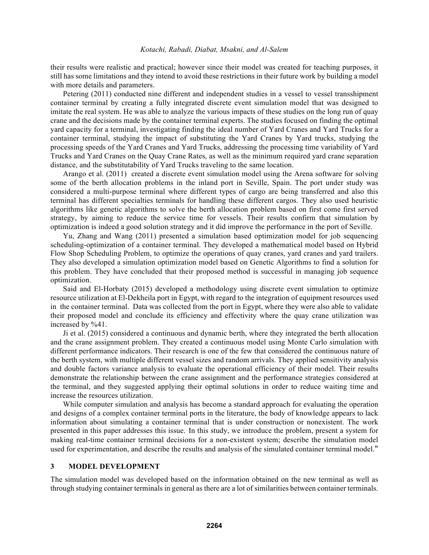their results were realistic and practical; however since their model was created for teaching purposes, it still has some limitations and they intend to avoid these restrictions in their future work by building a model with more details and parameters.

Petering (2011) conducted nine different and independent studies in a vessel to vessel transshipment container terminal by creating a fully integrated discrete event simulation model that was designed to imitate the real system. He was able to analyze the various impacts of these studies on the long run of quay crane and the decisions made by the container terminal experts. The studies focused on finding the optimal yard capacity for a terminal, investigating finding the ideal number of Yard Cranes and Yard Trucks for a container terminal, studying the impact of substituting the Yard Cranes by Yard trucks, studying the processing speeds of the Yard Cranes and Yard Trucks, addressing the processing time variability of Yard Trucks and Yard Cranes on the Quay Crane Rates, as well as the minimum required yard crane separation distance, and the substitutability of Yard Trucks traveling to the same location.

Arango et al. (2011) created a discrete event simulation model using the Arena software for solving some of the berth allocation problems in the inland port in Seville, Spain. The port under study was considered a multi-purpose terminal where different types of cargo are being transferred and also this terminal has different specialties terminals for handling these different cargos. They also used heuristic algorithms like genetic algorithms to solve the berth allocation problem based on first come first served strategy, by aiming to reduce the service time for vessels. Their results confirm that simulation by optimization is indeed a good solution strategy and it did improve the performance in the port of Seville.

Yu, Zhang and Wang (2011) presented a simulation based optimization model for job sequencing scheduling-optimization of a container terminal. They developed a mathematical model based on Hybrid Flow Shop Scheduling Problem, to optimize the operations of quay cranes, yard cranes and yard trailers. They also developed a simulation optimization model based on Genetic Algorithms to find a solution for this problem. They have concluded that their proposed method is successful in managing job sequence optimization.

Said and El-Horbaty (2015) developed a methodology using discrete event simulation to optimize resource utilization at El-Dekheila port in Egypt, with regard to the integration of equipment resources used in the container terminal. Data was collected from the port in Egypt, where they were also able to validate their proposed model and conclude its efficiency and effectivity where the quay crane utilization was increased by %41.

Ji et al. (2015) considered a continuous and dynamic berth, where they integrated the berth allocation and the crane assignment problem. They created a continuous model using Monte Carlo simulation with different performance indicators. Their research is one of the few that considered the continuous nature of the berth system, with multiple different vessel sizes and random arrivals. They applied sensitivity analysis and double factors variance analysis to evaluate the operational efficiency of their model. Their results demonstrate the relationship between the crane assignment and the performance strategies considered at the terminal, and they suggested applying their optimal solutions in order to reduce waiting time and increase the resources utilization.

While computer simulation and analysis has become a standard approach for evaluating the operation and designs of a complex container terminal ports in the literature, the body of knowledge appears to lack information about simulating a container terminal that is under construction or nonexistent. The work presented in this paper addresses this issue. In this study, we introduce the problem, present a system for making real-time container terminal decisions for a non-existent system; describe the simulation model used for experimentation, and describe the results and analysis of the simulated container terminal model."

## **3 MODEL DEVELOPMENT**

The simulation model was developed based on the information obtained on the new terminal as well as through studying container terminals in general as there are a lot of similarities between container terminals.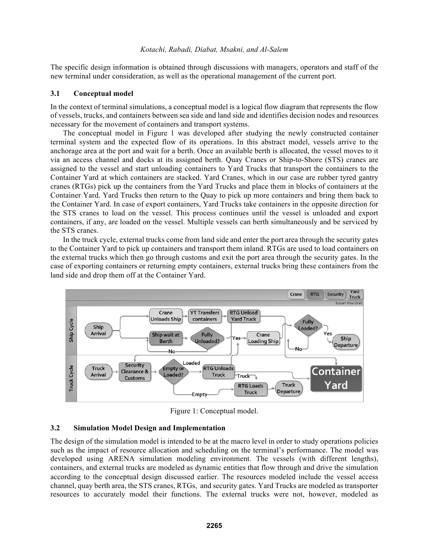The specific design information is obtained through discussions with managers, operators and staff of the new terminal under consideration, as well as the operational management of the current port.

#### **3.1 Conceptual model**

In the context of terminal simulations, a conceptual model is a logical flow diagram that represents the flow of vessels, trucks, and containers between sea side and land side and identifies decision nodes and resources necessary for the movement of containers and transport systems.

The conceptual model in Figure 1 was developed after studying the newly constructed container terminal system and the expected flow of its operations. In this abstract model, vessels arrive to the anchorage area at the port and wait for a berth. Once an available berth is allocated, the vessel moves to it via an access channel and docks at its assigned berth. Quay Cranes or Ship-to-Shore (STS) cranes are assigned to the vessel and start unloading containers to Yard Trucks that transport the containers to the Container Yard at which containers are stacked. Yard Cranes, which in our case are rubber tyred gantry cranes (RTGs) pick up the containers from the Yard Trucks and place them in blocks of containers at the Container Yard. Yard Trucks then return to the Quay to pick up more containers and bring them back to the Container Yard. In case of export containers, Yard Trucks take containers in the opposite direction for the STS cranes to load on the vessel. This process continues until the vessel is unloaded and export containers, if any, are loaded on the vessel. Multiple vessels can berth simultaneously and be serviced by the STS cranes.

In the truck cycle, external trucks come from land side and enter the port area through the security gates to the Container Yard to pick up containers and transport them inland. RTGs are used to load containers on the external trucks which then go through customs and exit the port area through the security gates. In the case of exporting containers or returning empty containers, external trucks bring these containers from the land side and drop them off at the Container Yard.



Figure 1: Conceptual model.

### **3.2 Simulation Model Design and Implementation**

The design of the simulation model is intended to be at the macro level in order to study operations policies such as the impact of resource allocation and scheduling on the terminal's performance. The model was developed using ARENA simulation modeling environment. The vessels (with different lengths), containers, and external trucks are modeled as dynamic entities that flow through and drive the simulation according to the conceptual design discussed earlier. The resources modeled include the vessel access channel, quay berth area, the STS cranes, RTGs, and security gates. Yard Trucks are modeled as transporter resources to accurately model their functions. The external trucks were not, however, modeled as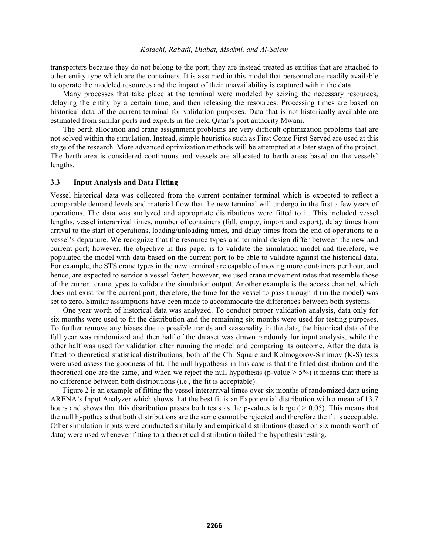transporters because they do not belong to the port; they are instead treated as entities that are attached to other entity type which are the containers. It is assumed in this model that personnel are readily available to operate the modeled resources and the impact of their unavailability is captured within the data.

Many processes that take place at the terminal were modeled by seizing the necessary resources, delaying the entity by a certain time, and then releasing the resources. Processing times are based on historical data of the current terminal for validation purposes. Data that is not historically available are estimated from similar ports and experts in the field Qatar's port authority Mwani.

The berth allocation and crane assignment problems are very difficult optimization problems that are not solved within the simulation. Instead, simple heuristics such as First Come First Served are used at this stage of the research. More advanced optimization methods will be attempted at a later stage of the project. The berth area is considered continuous and vessels are allocated to berth areas based on the vessels' lengths.

## **3.3 Input Analysis and Data Fitting**

Vessel historical data was collected from the current container terminal which is expected to reflect a comparable demand levels and material flow that the new terminal will undergo in the first a few years of operations. The data was analyzed and appropriate distributions were fitted to it. This included vessel lengths, vessel interarrival times, number of containers (full, empty, import and export), delay times from arrival to the start of operations, loading/unloading times, and delay times from the end of operations to a vessel's departure. We recognize that the resource types and terminal design differ between the new and current port; however, the objective in this paper is to validate the simulation model and therefore, we populated the model with data based on the current port to be able to validate against the historical data. For example, the STS crane types in the new terminal are capable of moving more containers per hour, and hence, are expected to service a vessel faster; however, we used crane movement rates that resemble those of the current crane types to validate the simulation output. Another example is the access channel, which does not exist for the current port; therefore, the time for the vessel to pass through it (in the model) was set to zero. Similar assumptions have been made to accommodate the differences between both systems.

One year worth of historical data was analyzed. To conduct proper validation analysis, data only for six months were used to fit the distribution and the remaining six months were used for testing purposes. To further remove any biases due to possible trends and seasonality in the data, the historical data of the full year was randomized and then half of the dataset was drawn randomly for input analysis, while the other half was used for validation after running the model and comparing its outcome. After the data is fitted to theoretical statistical distributions, both of the Chi Square and Kolmogorov-Smirnov (K-S) tests were used assess the goodness of fit. The null hypothesis in this case is that the fitted distribution and the theoretical one are the same, and when we reject the null hypothesis (p-value  $> 5\%$ ) it means that there is no difference between both distributions (i.e., the fit is acceptable).

Figure 2 is an example of fitting the vessel interarrival times over six months of randomized data using ARENA's Input Analyzer which shows that the best fit is an Exponential distribution with a mean of 13.7 hours and shows that this distribution passes both tests as the p-values is large ( > 0.05). This means that the null hypothesis that both distributions are the same cannot be rejected and therefore the fit is acceptable. Other simulation inputs were conducted similarly and empirical distributions (based on six month worth of data) were used whenever fitting to a theoretical distribution failed the hypothesis testing.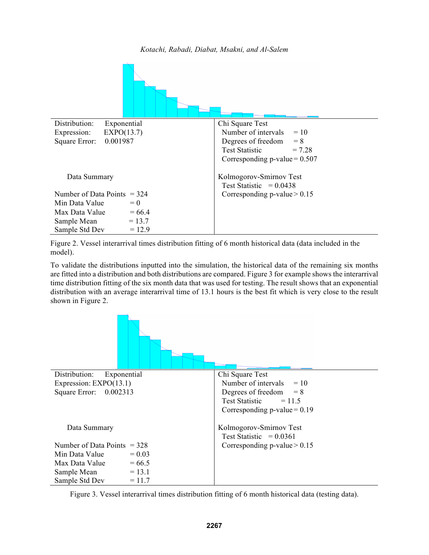



Figure 2. Vessel interarrival times distribution fitting of 6 month historical data (data included in the model).

To validate the distributions inputted into the simulation, the historical data of the remaining six months are fitted into a distribution and both distributions are compared. Figure 3 for example shows the interarrival time distribution fitting of the six month data that was used for testing. The result shows that an exponential distribution with an average interarrival time of 13.1 hours is the best fit which is very close to the result shown in Figure 2.



Figure 3. Vessel interarrival times distribution fitting of 6 month historical data (testing data).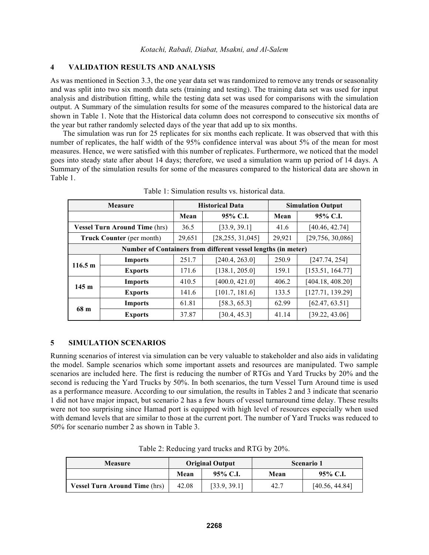# **4 VALIDATION RESULTS AND ANALYSIS**

As was mentioned in Section 3.3, the one year data set was randomized to remove any trends or seasonality and was split into two six month data sets (training and testing). The training data set was used for input analysis and distribution fitting, while the testing data set was used for comparisons with the simulation output. A Summary of the simulation results for some of the measures compared to the historical data are shown in Table 1. Note that the Historical data column does not correspond to consecutive six months of the year but rather randomly selected days of the year that add up to six months.

The simulation was run for 25 replicates for six months each replicate. It was observed that with this number of replicates, the half width of the 95% confidence interval was about 5% of the mean for most measures. Hence, we were satisfied with this number of replicates. Furthermore, we noticed that the model goes into steady state after about 14 days; therefore, we used a simulation warm up period of 14 days. A Summary of the simulation results for some of the measures compared to the historical data are shown in Table 1.

| <b>Measure</b>                                                |                | <b>Historical Data</b> |                    | <b>Simulation Output</b> |                  |  |  |  |  |
|---------------------------------------------------------------|----------------|------------------------|--------------------|--------------------------|------------------|--|--|--|--|
|                                                               |                | Mean                   | 95% C.I.           | Mean                     | 95% C.I.         |  |  |  |  |
| <b>Vessel Turn Around Time (hrs)</b>                          |                | 36.5                   | [33.9, 39.1]       | 41.6                     | [40.46, 42.74]   |  |  |  |  |
| Truck Counter (per month)                                     |                | 29,651                 | [28, 255, 31, 045] | 29,921                   | [29,756, 30,086] |  |  |  |  |
| Number of Containers from different vessel lengths (in meter) |                |                        |                    |                          |                  |  |  |  |  |
| 116.5 m                                                       | Imports        | 251.7                  | [240.4, 263.0]     | 250.9                    | [247.74, 254]    |  |  |  |  |
|                                                               | <b>Exports</b> | 171.6                  | [138.1, 205.0]     | 159.1                    | [153.51, 164.77] |  |  |  |  |
| 145 <sub>m</sub>                                              | Imports        | 410.5                  | [400.0, 421.0]     | 406.2                    | [404.18, 408.20] |  |  |  |  |
|                                                               | <b>Exports</b> | 141.6                  | [101.7, 181.6]     | 133.5                    | [127.71, 139.29] |  |  |  |  |
| 68 m                                                          | Imports        | 61.81                  | [58.3, 65.3]       | 62.99                    | [62.47, 63.51]   |  |  |  |  |
|                                                               | <b>Exports</b> | 37.87                  | [30.4, 45.3]       | 41.14                    | [39.22, 43.06]   |  |  |  |  |

Table 1: Simulation results vs. historical data.

# **5 SIMULATION SCENARIOS**

Running scenarios of interest via simulation can be very valuable to stakeholder and also aids in validating the model. Sample scenarios which some important assets and resources are manipulated. Two sample scenarios are included here. The first is reducing the number of RTGs and Yard Trucks by 20% and the second is reducing the Yard Trucks by 50%. In both scenarios, the turn Vessel Turn Around time is used as a performance measure. According to our simulation, the results in Tables 2 and 3 indicate that scenario 1 did not have major impact, but scenario 2 has a few hours of vessel turnaround time delay. These results were not too surprising since Hamad port is equipped with high level of resources especially when used with demand levels that are similar to those at the current port. The number of Yard Trucks was reduced to 50% for scenario number 2 as shown in Table 3.

| <b>Measure</b>                       | <b>Original Output</b> |              | <b>Scenario</b> 1 |                |
|--------------------------------------|------------------------|--------------|-------------------|----------------|
|                                      | Mean                   | 95% C.I.     | Mean              | 95% C.I.       |
| <b>Vessel Turn Around Time (hrs)</b> | 42.08                  | [33.9, 39.1] | 42.7              | [40.56, 44.84] |

Table 2: Reducing yard trucks and RTG by 20%.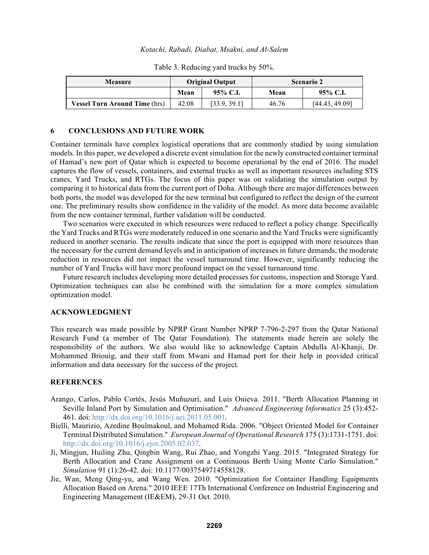| <b>Measure</b>                       | <b>Original Output</b> |              | <b>Scenario 2</b> |                |
|--------------------------------------|------------------------|--------------|-------------------|----------------|
|                                      | Mean                   | 95% C.I.     | Mean              | 95% C.I.       |
| <b>Vessel Turn Around Time (hrs)</b> | 42.08                  | [33.9, 39.1] | 46.76             | [44.43, 49.09] |

Table 3. Reducing yard trucks by 50%.

### **6 CONCLUSIONS AND FUTURE WORK**

Container terminals have complex logistical operations that are commonly studied by using simulation models. In this paper, we developed a discrete event simulation for the newly constructed container terminal of Hamad's new port of Qatar which is expected to become operational by the end of 2016. The model captures the flow of vessels, containers, and external trucks as well as important resources including STS cranes, Yard Trucks, and RTGs. The focus of this paper was on validating the simulation output by comparing it to historical data from the current port of Doha. Although there are major differences between both ports, the model was developed for the new terminal but configured to reflect the design of the current one. The preliminary results show confidence in the validity of the model. As more data become available from the new container terminal, further validation will be conducted.

Two scenarios were executed in which resources were reduced to reflect a policy change. Specifically the Yard Trucks and RTGs were moderately reduced in one scenario and the Yard Trucks were significantly reduced in another scenario. The results indicate that since the port is equipped with more resources than the necessary for the current demand levels and in anticipation of increases in future demands, the moderate reduction in resources did not impact the vessel turnaround time. However, significantly reducing the number of Yard Trucks will have more profound impact on the vessel turnaround time.

Future research includes developing more detailed processes for customs, inspection and Storage Yard. Optimization techniques can also be combined with the simulation for a more complex simulation optimization model.

# **ACKNOWLEDGMENT**

This research was made possible by NPRP Grant Number NPRP 7-796-2-297 from the Qatar National Research Fund (a member of The Qatar Foundation). The statements made herein are solely the responsibility of the authors. We also would like to acknowledge Captain Abdulla Al-Khanji, Dr. Mohammed Briouig, and their staff from Mwani and Hamad port for their help in provided critical information and data necessary for the success of the project.

# **REFERENCES**

- Arango, Carlos, Pablo Cortés, Jesús Muñuzuri, and Luis Onieva. 2011. "Berth Allocation Planning in Seville Inland Port by Simulation and Optimisation." *Advanced Engineering Informatics* 25 (3):452- 461. doi: http://dx.doi.org/10.1016/j.aei.2011.05.001.
- Bielli, Maurizio, Azedine Boulmakoul, and Mohamed Rida. 2006. "Object Oriented Model for Container Terminal Distributed Simulation." *European Journal of Operational Research* 175 (3):1731-1751. doi: http://dx.doi.org/10.1016/j.ejor.2005.02.037.
- Ji, Mingjun, Huiling Zhu, Qingbin Wang, Rui Zhao, and Yongzhi Yang. 2015. "Integrated Strategy for Berth Allocation and Crane Assignment on a Continuous Berth Using Monte Carlo Simulation." *Simulation* 91 (1):26-42. doi: 10.1177/0037549714558128.
- Jie, Wan, Meng Qing-yu, and Wang Wen. 2010. "Optimization for Container Handling Equipments Allocation Based on Arena." 2010 IEEE 17Th International Conference on Industrial Engineering and Engineering Management (IE&EM), 29-31 Oct. 2010.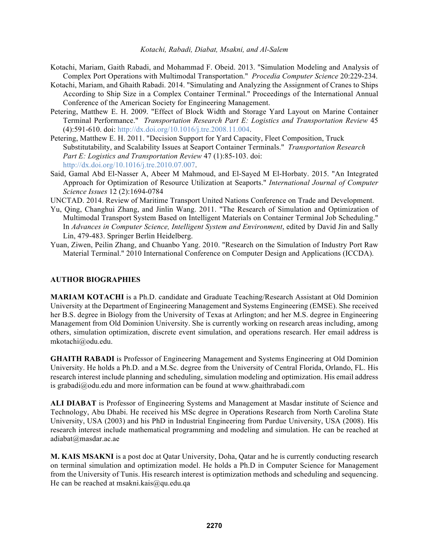- Kotachi, Mariam, Gaith Rabadi, and Mohammad F. Obeid. 2013. "Simulation Modeling and Analysis of Complex Port Operations with Multimodal Transportation." *Procedia Computer Science* 20:229-234.
- Kotachi, Mariam, and Ghaith Rabadi. 2014. "Simulating and Analyzing the Assignment of Cranes to Ships According to Ship Size in a Complex Container Terminal." Proceedings of the International Annual Conference of the American Society for Engineering Management.
- Petering, Matthew E. H. 2009. "Effect of Block Width and Storage Yard Layout on Marine Container Terminal Performance." *Transportation Research Part E: Logistics and Transportation Review* 45 (4):591-610. doi: http://dx.doi.org/10.1016/j.tre.2008.11.004.
- Petering, Matthew E. H. 2011. "Decision Support for Yard Capacity, Fleet Composition, Truck Substitutability, and Scalability Issues at Seaport Container Terminals." *Transportation Research Part E: Logistics and Transportation Review* 47 (1):85-103. doi: http://dx.doi.org/10.1016/j.tre.2010.07.007.
- Said, Gamal Abd El-Nasser A, Abeer M Mahmoud, and El-Sayed M El-Horbaty. 2015. "An Integrated Approach for Optimization of Resource Utilization at Seaports." *International Journal of Computer Science Issues* 12 (2):1694-0784
- UNCTAD. 2014. Review of Maritime Transport United Nations Conference on Trade and Development.
- Yu, Qing, Changhui Zhang, and Jinlin Wang. 2011. "The Research of Simulation and Optimization of Multimodal Transport System Based on Intelligent Materials on Container Terminal Job Scheduling." In *Advances in Computer Science, Intelligent System and Environment*, edited by David Jin and Sally Lin, 479-483. Springer Berlin Heidelberg.
- Yuan, Ziwen, Peilin Zhang, and Chuanbo Yang. 2010. "Research on the Simulation of Industry Port Raw Material Terminal." 2010 International Conference on Computer Design and Applications (ICCDA).

# **AUTHOR BIOGRAPHIES**

**MARIAM KOTACHI** is a Ph.D. candidate and Graduate Teaching/Research Assistant at Old Dominion University at the Department of Engineering Management and Systems Engineering (EMSE). She received her B.S. degree in Biology from the University of Texas at Arlington; and her M.S. degree in Engineering Management from Old Dominion University. She is currently working on research areas including, among others, simulation optimization, discrete event simulation, and operations research. Her email address is mkotachi@odu.edu.

**GHAITH RABADI** is Professor of Engineering Management and Systems Engineering at Old Dominion University. He holds a Ph.D. and a M.Sc. degree from the University of Central Florida, Orlando, FL. His research interest include planning and scheduling, simulation modeling and optimization. His email address is grabadi@odu.edu and more information can be found at www.ghaithrabadi.com

**ALI DIABAT** is Professor of Engineering Systems and Management at Masdar institute of Science and Technology, Abu Dhabi. He received his MSc degree in Operations Research from North Carolina State University, USA (2003) and his PhD in Industrial Engineering from Purdue University, USA (2008). His research interest include mathematical programming and modeling and simulation. He can be reached at adiabat@masdar.ac.ae

**M. KAIS MSAKNI** is a post doc at Qatar University, Doha, Qatar and he is currently conducting research on terminal simulation and optimization model. He holds a Ph.D in Computer Science for Management from the University of Tunis. His research interest is optimization methods and scheduling and sequencing. He can be reached at msakni.kais@qu.edu.qa